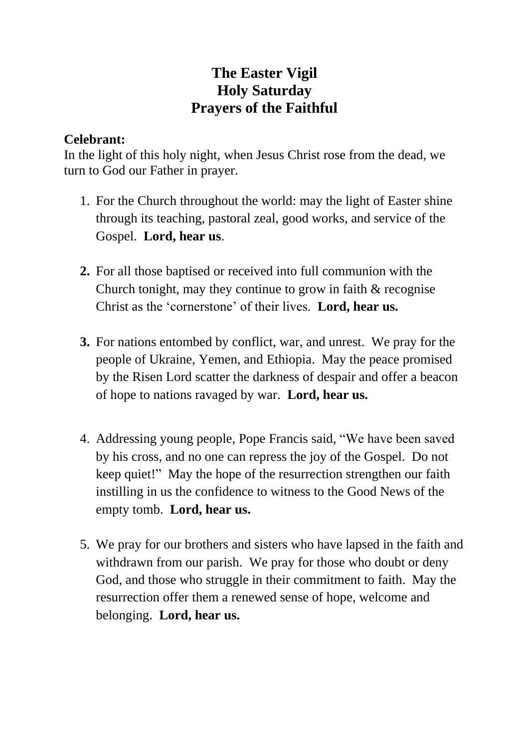## **The Easter Vigil Holy Saturday Prayers of the Faithful**

## **Celebrant:**

In the light of this holy night, when Jesus Christ rose from the dead, we turn to God our Father in prayer.

- 1. For the Church throughout the world: may the light of Easter shine through its teaching, pastoral zeal, good works, and service of the Gospel. **Lord, hear us**.
- **2.** For all those baptised or received into full communion with the Church tonight, may they continue to grow in faith & recognise Christ as the 'cornerstone' of their lives. **Lord, hear us.**
- **3.** For nations entombed by conflict, war, and unrest. We pray for the people of Ukraine, Yemen, and Ethiopia. May the peace promised by the Risen Lord scatter the darkness of despair and offer a beacon of hope to nations ravaged by war. **Lord, hear us.**
- 4. Addressing young people, Pope Francis said, "We have been saved by his cross, and no one can repress the joy of the Gospel. Do not keep quiet!" May the hope of the resurrection strengthen our faith instilling in us the confidence to witness to the Good News of the empty tomb. **Lord, hear us.**
- 5. We pray for our brothers and sisters who have lapsed in the faith and withdrawn from our parish. We pray for those who doubt or deny God, and those who struggle in their commitment to faith. May the resurrection offer them a renewed sense of hope, welcome and belonging. **Lord, hear us.**